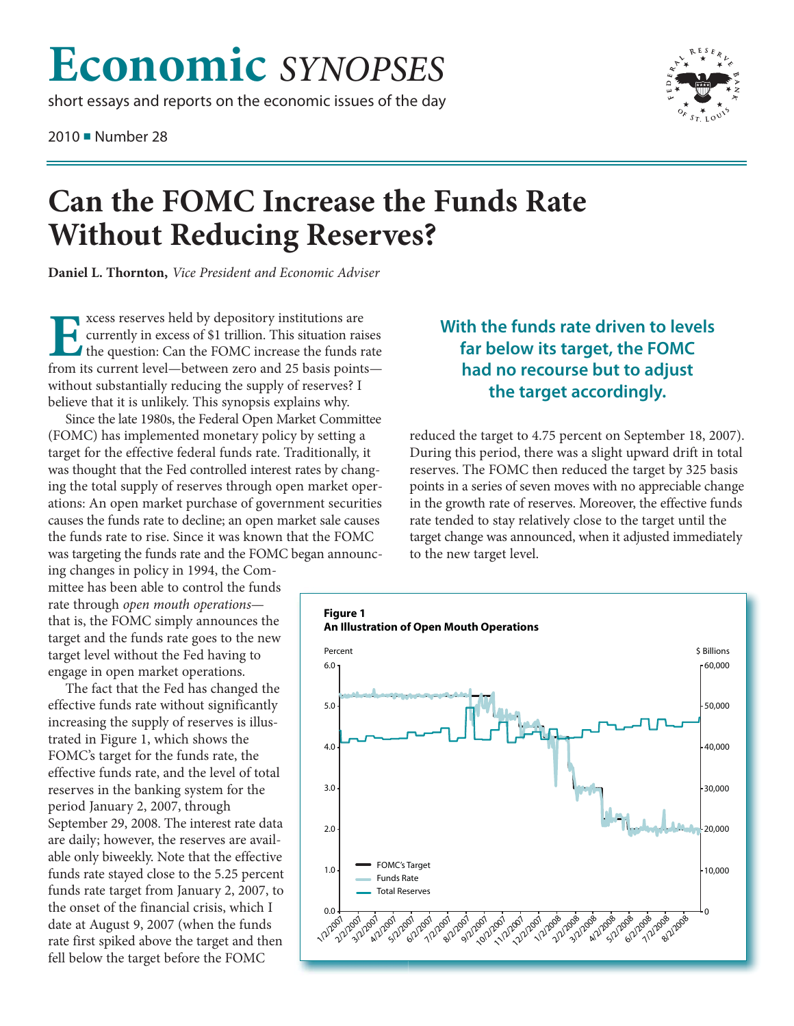## **Economic** *SYNOPSES*

short essays and reports on the economic issues of the day

2010 ■ Number 28



## **Can the FOMC Increase the Funds Rate Without Reducing Reserves?**

**Daniel L. Thornton,** *Vice President and Economic Adviser*

Excess reserves held by depository institutions are<br>the question: Can the FOMC increase the funds if<br>from its current level—between zero and 25 basis point currently in excess of \$1 trillion. This situation raises the question: Can the FOMC increase the funds rate from its current level—between zero and 25 basis points without substantially reducing the supply of reserves? I believe that it is unlikely. This synopsis explains why.

Since the late 1980s, the Federal Open Market Committee (FOMC) has implemented monetary policy by setting a target for the effective federal funds rate. Traditionally, it was thought that the Fed controlled interest rates by changing the total supply of reserves through open market operations: An open market purchase of government securities causes the funds rate to decline; an open market sale causes the funds rate to rise. Since it was known that the FOMC was targeting the funds rate and the FOMC began announc-

ing changes in policy in 1994, the Committee has been able to control the funds rate through *open mouth operations* that is, the FOMC simply announces the target and the funds rate goes to the new target level without the Fed having to engage in open market operations.

The fact that the Fed has changed the effective funds rate without significantly increasing the supply of reserves is illustrated in Figure 1, which shows the FOMC's target for the funds rate, the effective funds rate, and the level of total reserves in the banking system for the period January 2, 2007, through September 29, 2008. The interest rate data are daily; however, the reserves are available only biweekly. Note that the effective funds rate stayed close to the 5.25 percent funds rate target from January 2, 2007, to the onset of the financial crisis, which I date at August 9, 2007 (when the funds rate first spiked above the target and then fell below the target before the FOMC

## **With the funds rate driven to levels far below its target, the FOMC had no recourse but to adjust the target accordingly.**

reduced the target to 4.75 percent on September 18, 2007). During this period, there was a slight upward drift in total reserves. The FOMC then reduced the target by 325 basis points in a series of seven moves with no appreciable change in the growth rate of reserves. Moreover, the effective funds rate tended to stay relatively close to the target until the target change was announced, when it adjusted immediately to the new target level.